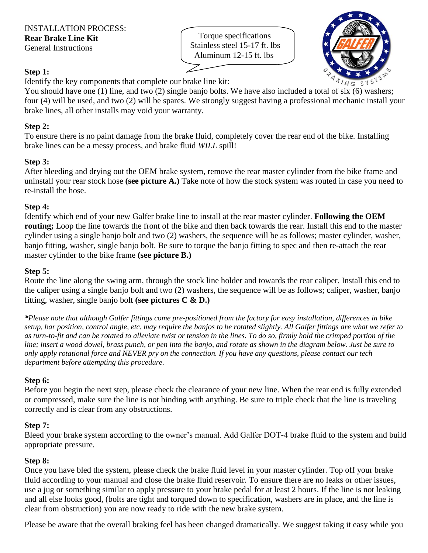Torque specifications Stainless steel 15-17 ft. lbs Aluminum 12-15 ft. lbs



### **Step 1:**

Identify the key components that complete our brake line kit:

You should have one (1) line, and two (2) single banjo bolts. We have also included a total of six (6) washers; four (4) will be used, and two (2) will be spares. We strongly suggest having a professional mechanic install your brake lines, all other installs may void your warranty.

### **Step 2:**

To ensure there is no paint damage from the brake fluid, completely cover the rear end of the bike. Installing brake lines can be a messy process, and brake fluid *WILL* spill!

### **Step 3:**

After bleeding and drying out the OEM brake system, remove the rear master cylinder from the bike frame and uninstall your rear stock hose **(see picture A.)** Take note of how the stock system was routed in case you need to re-install the hose.

### **Step 4:**

Identify which end of your new Galfer brake line to install at the rear master cylinder. **Following the OEM routing;** Loop the line towards the front of the bike and then back towards the rear. Install this end to the master cylinder using a single banjo bolt and two (2) washers, the sequence will be as follows; master cylinder, washer, banjo fitting, washer, single banjo bolt. Be sure to torque the banjo fitting to spec and then re-attach the rear master cylinder to the bike frame **(see picture B.)**

### **Step 5:**

Route the line along the swing arm, through the stock line holder and towards the rear caliper. Install this end to the caliper using a single banjo bolt and two (2) washers, the sequence will be as follows; caliper, washer, banjo fitting, washer, single banjo bolt **(see pictures C & D.)**

*\*Please note that although Galfer fittings come pre-positioned from the factory for easy installation, differences in bike setup, bar position, control angle, etc. may require the banjos to be rotated slightly. All Galfer fittings are what we refer to as turn-to-fit and can be rotated to alleviate twist or tension in the lines. To do so, firmly hold the crimped portion of the line; insert a wood dowel, brass punch, or pen into the banjo, and rotate as shown in the diagram below. Just be sure to only apply rotational force and NEVER pry on the connection. If you have any questions, please contact our tech department before attempting this procedure.*

# **Step 6:**

Before you begin the next step, please check the clearance of your new line. When the rear end is fully extended or compressed, make sure the line is not binding with anything. Be sure to triple check that the line is traveling correctly and is clear from any obstructions.

# **Step 7:**

Bleed your brake system according to the owner's manual. Add Galfer DOT-4 brake fluid to the system and build appropriate pressure.

#### **Step 8:**

Once you have bled the system, please check the brake fluid level in your master cylinder. Top off your brake fluid according to your manual and close the brake fluid reservoir. To ensure there are no leaks or other issues, use a jug or something similar to apply pressure to your brake pedal for at least 2 hours. If the line is not leaking and all else looks good, (bolts are tight and torqued down to specification, washers are in place, and the line is clear from obstruction) you are now ready to ride with the new brake system.

Please be aware that the overall braking feel has been changed dramatically. We suggest taking it easy while you